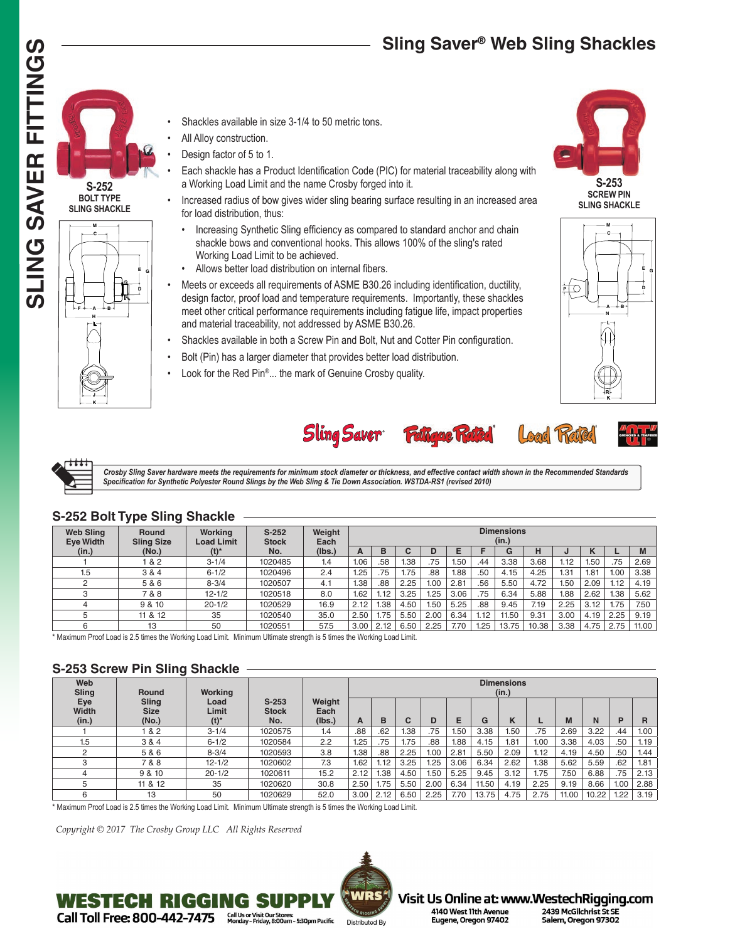# **Sling Saver® Web Sling Shackles**





**S-252 BOLT TYPE**



- Shackles available in size 3-1/4 to 50 metric tons.
- All Alloy construction.
- Design factor of 5 to 1.
- Each shackle has a Product Identification Code (PIC) for material traceability along with a Working Load Limit and the name Crosby forged into it.
- Increased radius of bow gives wider sling bearing surface resulting in an increased area for load distribution, thus:
	- Increasing Synthetic Sling efficiency as compared to standard anchor and chain shackle bows and conventional hooks. This allows 100% of the sling's rated Working Load Limit to be achieved.
- Allows better load distribution on internal fibers.
- Meets or exceeds all requirements of ASME B30.26 including identification, ductility, design factor, proof load and temperature requirements. Importantly, these shackles meet other critical performance requirements including fatigue life, impact properties and material traceability, not addressed by ASME B30.26.
- Shackles available in both a Screw Pin and Bolt, Nut and Cotter Pin configuration.
- Bolt (Pin) has a larger diameter that provides better load distribution.
- Look for the Red Pin®... the mark of Genuine Crosby quality.



**M C E D B**  $\frac{1}{\sqrt{2}}$ **G A L N R K**



Load Rated





 *Crosby Sling Saver hardware meets the requirements for minimum stock diameter or thickness, and effective contact width shown in the Recommended Standards Specification for Synthetic Polyester Round Slings by the Web Sling & Tie Down Association. WSTDA-RS1 (revised 2010)*

#### **Web Sling Eye Width (in.) Round Sling Size (No.) Working Load Limit (t)\* S-252 Stock No. Weight Each (lbs.) Dimensions (in.) A B C D E F G H J K L M** 1 1 | 1.& 2 | 3.1/4 | 1020485 | 1.4 |1.06| 58 | 1.38 | 75 | 1.50 | .44 | 3.38 | 3.68 | 1.12 | 1.50 | .75 | 2.69 1.5  $|$  3 & 4  $|$  6-1/2  $|$  1020496  $|$  2.4  $|$  1.25  $|$  .75  $|$  1.75  $|$  .88  $|$  1.88  $|$  .50  $|$  4.15  $|$  4.25  $|$  1.31  $|$  1.81  $|$  1.00  $|$  3.38 2  $\qquad$   $\qquad$  5 & 6  $\qquad$   $\qquad$  8-3/4  $\qquad$  1020507  $\qquad$  4.1  $\qquad$  1.18  $\mid$  8.25  $\mid$  1.00  $\mid$  2.81  $\mid$  .56  $\mid$  5.50  $\mid$  4.72  $\mid$  1.50  $\mid$  2.09  $\mid$  1.12  $\mid$  4.19 3 7 & 8 12-1/2 1020518 8.0 1.62 1.12 3.25 1.25 3.06 .75 6.34 5.88 1.88 2.62 1.38 5.62 4 | 9&10 | 20-1/2 | 1020529 | 16.9 |2.12 | 1.38 | 4.50 | 1.50 | 5.25 | .88 | 9.45 | 7.19 | 2.25 | 3.12 | 1.75 | 7.50 5 11 & 12 35 1020540 35.0 |2.50 | 1.75 | 5.50 | 2.00 | 6.34 | 1.12 | 11.50 | 9.31 | 3.00 | 4.19 | 2.25 | 9.19 6 13 13 | 50 | 1020551 | 57.5 |3.00 | 2.12 | 6.50 | 2.25 | 7.70 | 1.25 | 13.75 | 10.38 | 3.38 | 4.75 | 2.75 | 11.00

### **S-252 Bolt Type Sling Shackle**

\* Maximum Proof Load is 2.5 times the Working Load Limit. Minimum Ultimate strength is 5 times the Working Load Limit.

# **S-253 Screw Pin Sling Shackle**

| Web<br>Sling                 | <b>Round</b>                  | Working                  |                                | <b>Dimensions</b><br>(in.) |      |      |        |      |      |       |      |      |       |       |      |      |
|------------------------------|-------------------------------|--------------------------|--------------------------------|----------------------------|------|------|--------|------|------|-------|------|------|-------|-------|------|------|
| Eye<br><b>Width</b><br>(in.) | Sling<br><b>Size</b><br>(No.) | Load<br>Limit<br>$(t)^*$ | $S-253$<br><b>Stock</b><br>No. | Weight<br>Each<br>(lbs.)   | А    | в    | ⌒<br>U | D    | Е    | G     | N    |      | M     | N     | P    | R    |
|                              | 82                            | $3 - 1/4$                | 1020575                        | 1.4                        | .88  | .62  | 1.38   | .75  | 1.50 | 3.38  | 1.50 | .75  | 2.69  | 3.22  | .44  | 1.00 |
| 1.5                          | 3 & 4                         | $6 - 1/2$                | 1020584                        | 2.2                        | .25  | .75  | 1.75   | .88  | 1.88 | 4.15  | 1.81 | 1.00 | 3.38  | 4.03  | .50  | 1.19 |
| C                            | 5 & 6                         | $8 - 3/4$                | 1020593                        | 3.8                        | 1.38 | .88  | 2.25   | 1.00 | 2.81 | 5.50  | 2.09 | 1.12 | 4.19  | 4.50  | .50  | 1.44 |
| C                            | 7 & 8                         | $12 - 1/2$               | 1020602                        | 7.3                        | 1.62 | 1.12 | 3.25   | 1.25 | 3.06 | 6.34  | 2.62 | 1.38 | 5.62  | 5.59  | .62  | 1.81 |
|                              | 9 & 10                        | $20 - 1/2$               | 1020611                        | 15.2                       | 2.12 | .38  | 4.50   | 1.50 | 5.25 | 9.45  | 3.12 | 1.75 | 7.50  | 6.88  | .75  | 2.13 |
|                              | 11 & 12                       | 35                       | 1020620                        | 30.8                       | 2.50 | 1.75 | 5.50   | 2.00 | 6.34 | 11.50 | 4.19 | 2.25 | 9.19  | 8.66  | 1.00 | 2.88 |
|                              | 13                            | 50                       | 1020629                        | 52.0                       | 3.00 | 2.12 | 6.50   | 2.25 | 7.70 | 13.75 | 4.75 | 2.75 | 11.00 | 10.22 | 1.22 | 3.19 |

\* Maximum Proof Load is 2.5 times the Working Load Limit. Minimum Ultimate strength is 5 times the Working Load Limit.

*Copyright © 2017 The Crosby Group LLC All Rights Reserved*

WESTECH RIGGING S



Visit Us Online at: www.WestechRigging.com 4140 West 11th Avenue

Call Us or Visit Our Stores:<br>Monday - Friday, 8:00am - 5:30pm Pacific Call Toll Free: 800-442-7475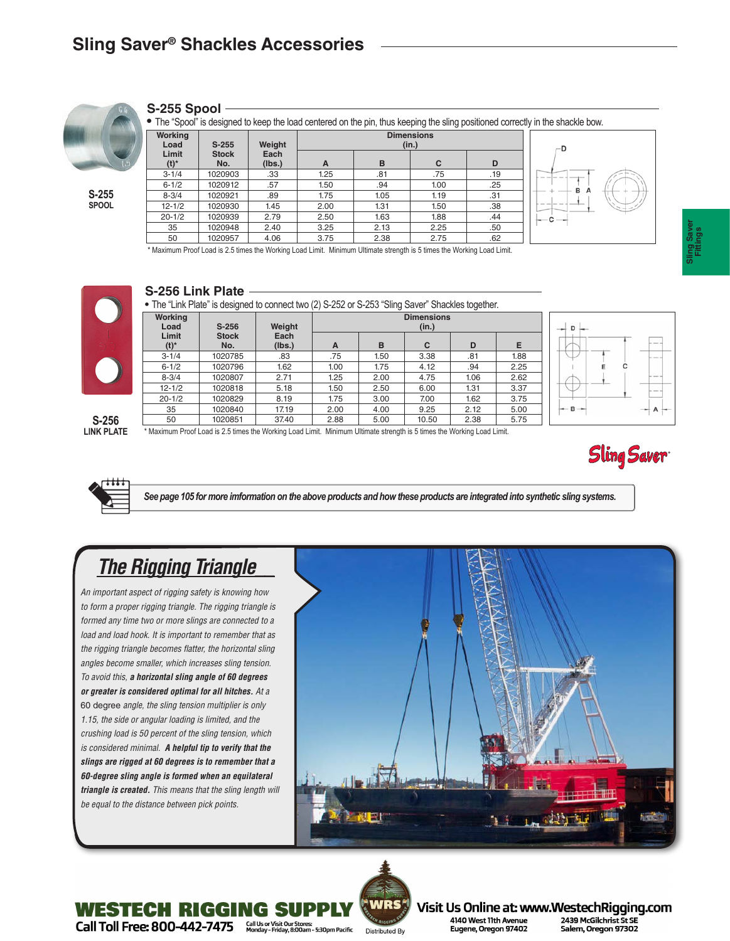

### **S-255 Spool**

**•** The "Spool" is designed to keep the load centered on the pin, thus keeping the sling positioned correctly in the shackle bow.

| Working<br>Load  | $S-255$             | Weight<br>Each<br>(Ibs.) |      | -D   |      |     |  |
|------------------|---------------------|--------------------------|------|------|------|-----|--|
| Limit<br>$(t)^*$ | <b>Stock</b><br>No. |                          | A    | B    | C    | D   |  |
| $3 - 1/4$        | 1020903             | .33                      | 1.25 | .81  | .75  | .19 |  |
| $6 - 1/2$        | 1020912             | .57                      | 1.50 | .94  | 1.00 | .25 |  |
| $8 - 3/4$        | 1020921             | .89                      | 1.75 | 1.05 | 1.19 | .31 |  |
| $12 - 1/2$       | 1020930             | 1.45                     | 2.00 | 1.31 | 1.50 | .38 |  |
| $20 - 1/2$       | 1020939             | 2.79                     | 2.50 | 1.63 | 1.88 | .44 |  |
| 35               | 1020948             | 2.40                     | 3.25 | 2.13 | 2.25 | .50 |  |
| 50               | 1020957             | 4.06                     | 3.75 | 2.38 | 2.75 | .62 |  |
|                  |                     |                          |      |      |      |     |  |



Maximum Proof Load is 2.5 times the Working Load Limit. Minimum Ultimate strength is 5 times the Working Load Limit.



### **S-256 Link Plate**

**•** The "Link Plate" is designed to connect two (2) S-252 or S-253 "Sling Saver" Shackles together.

|                  |                     |                | $\cdot$ $\cdot$            |      |       |      |      |  |  |  |  |
|------------------|---------------------|----------------|----------------------------|------|-------|------|------|--|--|--|--|
| Working<br>Load  | $S-256$             | Weight         | <b>Dimensions</b><br>(in.) |      |       |      |      |  |  |  |  |
| Limit<br>$(t)^*$ | <b>Stock</b><br>No. | Each<br>(lbs.) | A                          | в    | C     | D    | Е    |  |  |  |  |
| $3 - 1/4$        | 1020785             | .83            | .75                        | 1.50 | 3.38  | .81  | 1.88 |  |  |  |  |
| $6 - 1/2$        | 1020796             | 1.62           | 1.00                       | 1.75 | 4.12  | .94  | 2.25 |  |  |  |  |
| $8 - 3/4$        | 1020807             | 2.71           | 1.25                       | 2.00 | 4.75  | 1.06 | 2.62 |  |  |  |  |
| $12 - 1/2$       | 1020818             | 5.18           | 1.50                       | 2.50 | 6.00  | 1.31 | 3.37 |  |  |  |  |
| $20 - 1/2$       | 1020829             | 8.19           | 1.75                       | 3.00 | 7.00  | 1.62 | 3.75 |  |  |  |  |
| 35               | 1020840             | 17.19          | 2.00                       | 4.00 | 9.25  | 2.12 | 5.00 |  |  |  |  |
| 50               | 1020851             | 37.40          | 2.88                       | 5.00 | 10.50 | 2.38 | 5.75 |  |  |  |  |



**S-256 LINK PLATE**

\* Maximum Proof Load is 2.5 times the Working Load Limit. Minimum Ultimate strength is 5 times the Working Load Limit.





*See page 105 for more imformation on the above products and how these products are integrated into synthetic sling systems.*

# *The Rigging Triangle\_\_*

*An important aspect of rigging safety is knowing how to form a proper rigging triangle. The rigging triangle is formed any time two or more slings are connected to a load and load hook. It is important to remember that as the rigging triangle becomes flatter, the horizontal sling angles become smaller, which increases sling tension. To avoid this, a horizontal sling angle of 60 degrees or greater is considered optimal for all hitches. At a*  60 degree *angle, the sling tension multiplier is only 1.15, the side or angular loading is limited, and the crushing load is 50 percent of the sling tension, which is considered minimal. A helpful tip to verify that the slings are rigged at 60 degrees is to remember that a 60-degree sling angle is formed when an equilateral triangle is created. This means that the sling length will be equal to the distance between pick points.*

**WESTECH RIGGING S** 





Visit Us Online at: www.WestechRigging.com 2439 McGilchrist St SE 4140 West 11th Avenue Eugene, Oregon 97402 Salem, Oregon 97302